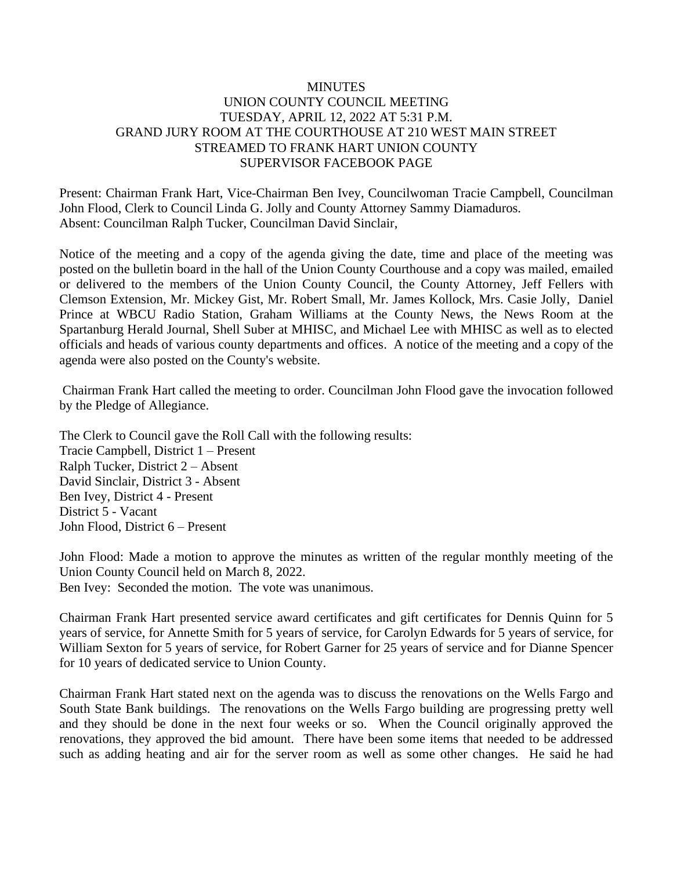# **MINUTES** UNION COUNTY COUNCIL MEETING TUESDAY, APRIL 12, 2022 AT 5:31 P.M. GRAND JURY ROOM AT THE COURTHOUSE AT 210 WEST MAIN STREET STREAMED TO FRANK HART UNION COUNTY SUPERVISOR FACEBOOK PAGE

Present: Chairman Frank Hart, Vice-Chairman Ben Ivey, Councilwoman Tracie Campbell, Councilman John Flood, Clerk to Council Linda G. Jolly and County Attorney Sammy Diamaduros. Absent: Councilman Ralph Tucker, Councilman David Sinclair,

Notice of the meeting and a copy of the agenda giving the date, time and place of the meeting was posted on the bulletin board in the hall of the Union County Courthouse and a copy was mailed, emailed or delivered to the members of the Union County Council, the County Attorney, Jeff Fellers with Clemson Extension, Mr. Mickey Gist, Mr. Robert Small, Mr. James Kollock, Mrs. Casie Jolly, Daniel Prince at WBCU Radio Station, Graham Williams at the County News, the News Room at the Spartanburg Herald Journal, Shell Suber at MHISC, and Michael Lee with MHISC as well as to elected officials and heads of various county departments and offices. A notice of the meeting and a copy of the agenda were also posted on the County's website.

Chairman Frank Hart called the meeting to order. Councilman John Flood gave the invocation followed by the Pledge of Allegiance.

The Clerk to Council gave the Roll Call with the following results: Tracie Campbell, District 1 – Present Ralph Tucker, District 2 – Absent David Sinclair, District 3 - Absent Ben Ivey, District 4 - Present District 5 - Vacant John Flood, District 6 – Present

John Flood: Made a motion to approve the minutes as written of the regular monthly meeting of the Union County Council held on March 8, 2022. Ben Ivey: Seconded the motion. The vote was unanimous.

Chairman Frank Hart presented service award certificates and gift certificates for Dennis Quinn for 5 years of service, for Annette Smith for 5 years of service, for Carolyn Edwards for 5 years of service, for William Sexton for 5 years of service, for Robert Garner for 25 years of service and for Dianne Spencer for 10 years of dedicated service to Union County.

Chairman Frank Hart stated next on the agenda was to discuss the renovations on the Wells Fargo and South State Bank buildings. The renovations on the Wells Fargo building are progressing pretty well and they should be done in the next four weeks or so. When the Council originally approved the renovations, they approved the bid amount. There have been some items that needed to be addressed such as adding heating and air for the server room as well as some other changes. He said he had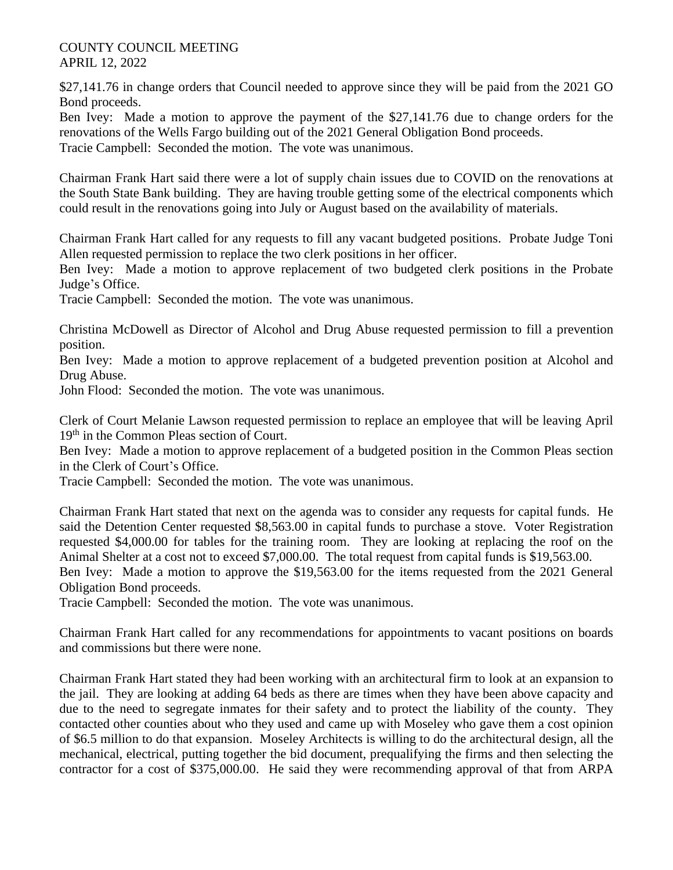\$27,141.76 in change orders that Council needed to approve since they will be paid from the 2021 GO Bond proceeds.

Ben Ivey: Made a motion to approve the payment of the \$27,141.76 due to change orders for the renovations of the Wells Fargo building out of the 2021 General Obligation Bond proceeds. Tracie Campbell: Seconded the motion. The vote was unanimous.

Chairman Frank Hart said there were a lot of supply chain issues due to COVID on the renovations at the South State Bank building. They are having trouble getting some of the electrical components which could result in the renovations going into July or August based on the availability of materials.

Chairman Frank Hart called for any requests to fill any vacant budgeted positions. Probate Judge Toni Allen requested permission to replace the two clerk positions in her officer.

Ben Ivey: Made a motion to approve replacement of two budgeted clerk positions in the Probate Judge's Office.

Tracie Campbell: Seconded the motion. The vote was unanimous.

Christina McDowell as Director of Alcohol and Drug Abuse requested permission to fill a prevention position.

Ben Ivey: Made a motion to approve replacement of a budgeted prevention position at Alcohol and Drug Abuse.

John Flood: Seconded the motion. The vote was unanimous.

Clerk of Court Melanie Lawson requested permission to replace an employee that will be leaving April 19th in the Common Pleas section of Court.

Ben Ivey: Made a motion to approve replacement of a budgeted position in the Common Pleas section in the Clerk of Court's Office.

Tracie Campbell: Seconded the motion. The vote was unanimous.

Chairman Frank Hart stated that next on the agenda was to consider any requests for capital funds. He said the Detention Center requested \$8,563.00 in capital funds to purchase a stove. Voter Registration requested \$4,000.00 for tables for the training room. They are looking at replacing the roof on the Animal Shelter at a cost not to exceed \$7,000.00. The total request from capital funds is \$19,563.00.

Ben Ivey: Made a motion to approve the \$19,563.00 for the items requested from the 2021 General Obligation Bond proceeds.

Tracie Campbell: Seconded the motion. The vote was unanimous.

Chairman Frank Hart called for any recommendations for appointments to vacant positions on boards and commissions but there were none.

Chairman Frank Hart stated they had been working with an architectural firm to look at an expansion to the jail. They are looking at adding 64 beds as there are times when they have been above capacity and due to the need to segregate inmates for their safety and to protect the liability of the county. They contacted other counties about who they used and came up with Moseley who gave them a cost opinion of \$6.5 million to do that expansion. Moseley Architects is willing to do the architectural design, all the mechanical, electrical, putting together the bid document, prequalifying the firms and then selecting the contractor for a cost of \$375,000.00. He said they were recommending approval of that from ARPA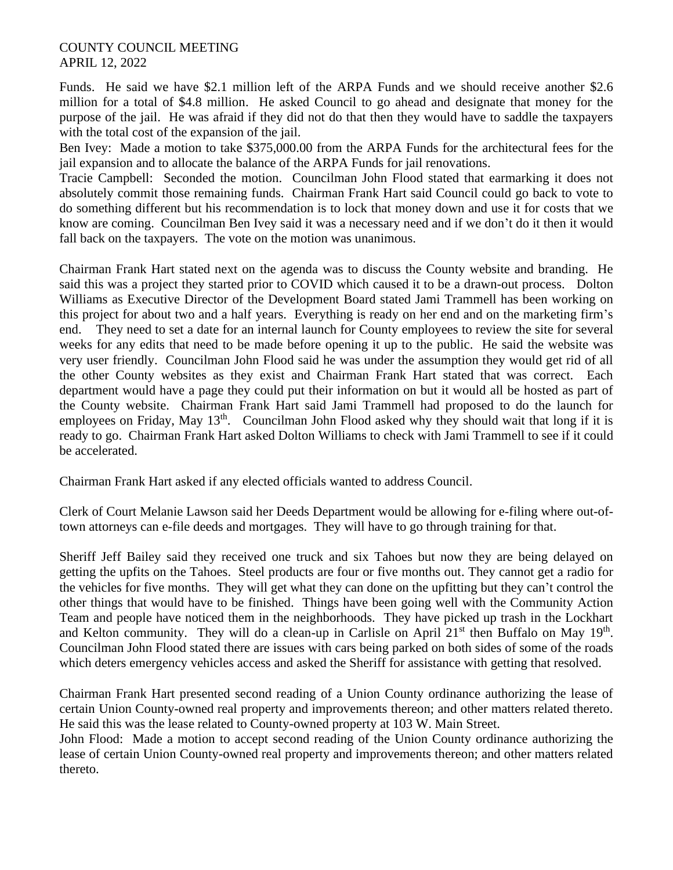Funds. He said we have \$2.1 million left of the ARPA Funds and we should receive another \$2.6 million for a total of \$4.8 million. He asked Council to go ahead and designate that money for the purpose of the jail. He was afraid if they did not do that then they would have to saddle the taxpayers with the total cost of the expansion of the jail.

Ben Ivey: Made a motion to take \$375,000.00 from the ARPA Funds for the architectural fees for the jail expansion and to allocate the balance of the ARPA Funds for jail renovations.

Tracie Campbell: Seconded the motion. Councilman John Flood stated that earmarking it does not absolutely commit those remaining funds. Chairman Frank Hart said Council could go back to vote to do something different but his recommendation is to lock that money down and use it for costs that we know are coming. Councilman Ben Ivey said it was a necessary need and if we don't do it then it would fall back on the taxpayers. The vote on the motion was unanimous.

Chairman Frank Hart stated next on the agenda was to discuss the County website and branding. He said this was a project they started prior to COVID which caused it to be a drawn-out process. Dolton Williams as Executive Director of the Development Board stated Jami Trammell has been working on this project for about two and a half years. Everything is ready on her end and on the marketing firm's end. They need to set a date for an internal launch for County employees to review the site for several weeks for any edits that need to be made before opening it up to the public. He said the website was very user friendly. Councilman John Flood said he was under the assumption they would get rid of all the other County websites as they exist and Chairman Frank Hart stated that was correct. Each department would have a page they could put their information on but it would all be hosted as part of the County website. Chairman Frank Hart said Jami Trammell had proposed to do the launch for employees on Friday, May  $13<sup>th</sup>$ . Councilman John Flood asked why they should wait that long if it is ready to go. Chairman Frank Hart asked Dolton Williams to check with Jami Trammell to see if it could be accelerated.

Chairman Frank Hart asked if any elected officials wanted to address Council.

Clerk of Court Melanie Lawson said her Deeds Department would be allowing for e-filing where out-oftown attorneys can e-file deeds and mortgages. They will have to go through training for that.

Sheriff Jeff Bailey said they received one truck and six Tahoes but now they are being delayed on getting the upfits on the Tahoes. Steel products are four or five months out. They cannot get a radio for the vehicles for five months. They will get what they can done on the upfitting but they can't control the other things that would have to be finished. Things have been going well with the Community Action Team and people have noticed them in the neighborhoods. They have picked up trash in the Lockhart and Kelton community. They will do a clean-up in Carlisle on April  $21<sup>st</sup>$  then Buffalo on May  $19<sup>th</sup>$ . Councilman John Flood stated there are issues with cars being parked on both sides of some of the roads which deters emergency vehicles access and asked the Sheriff for assistance with getting that resolved.

Chairman Frank Hart presented second reading of a Union County ordinance authorizing the lease of certain Union County-owned real property and improvements thereon; and other matters related thereto. He said this was the lease related to County-owned property at 103 W. Main Street.

John Flood: Made a motion to accept second reading of the Union County ordinance authorizing the lease of certain Union County-owned real property and improvements thereon; and other matters related thereto.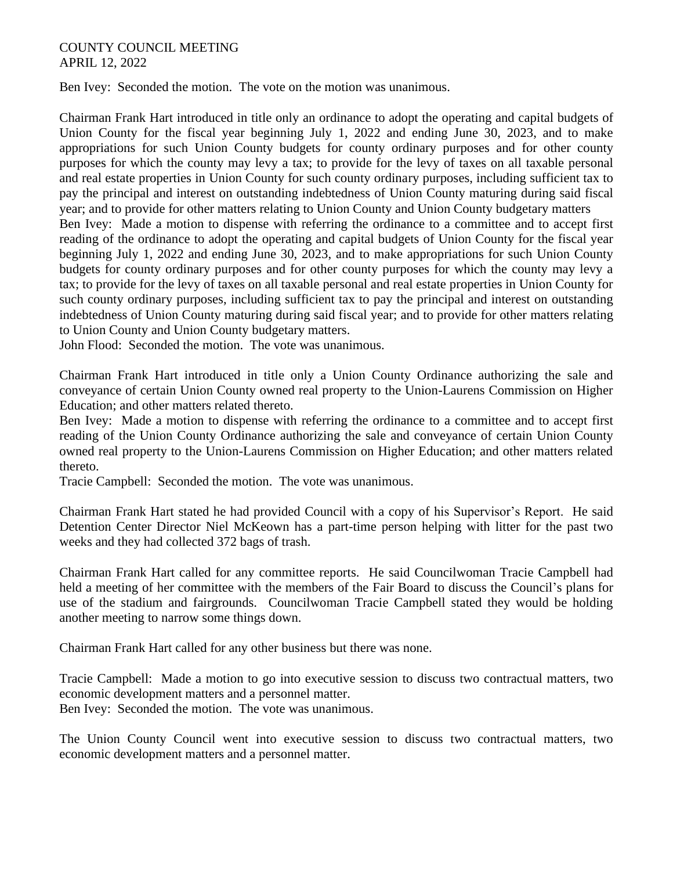Ben Ivey: Seconded the motion. The vote on the motion was unanimous.

Chairman Frank Hart introduced in title only an ordinance to adopt the operating and capital budgets of Union County for the fiscal year beginning July 1, 2022 and ending June 30, 2023, and to make appropriations for such Union County budgets for county ordinary purposes and for other county purposes for which the county may levy a tax; to provide for the levy of taxes on all taxable personal and real estate properties in Union County for such county ordinary purposes, including sufficient tax to pay the principal and interest on outstanding indebtedness of Union County maturing during said fiscal year; and to provide for other matters relating to Union County and Union County budgetary matters Ben Ivey: Made a motion to dispense with referring the ordinance to a committee and to accept first reading of the ordinance to adopt the operating and capital budgets of Union County for the fiscal year beginning July 1, 2022 and ending June 30, 2023, and to make appropriations for such Union County budgets for county ordinary purposes and for other county purposes for which the county may levy a tax; to provide for the levy of taxes on all taxable personal and real estate properties in Union County for such county ordinary purposes, including sufficient tax to pay the principal and interest on outstanding indebtedness of Union County maturing during said fiscal year; and to provide for other matters relating to Union County and Union County budgetary matters.

John Flood: Seconded the motion. The vote was unanimous.

Chairman Frank Hart introduced in title only a Union County Ordinance authorizing the sale and conveyance of certain Union County owned real property to the Union-Laurens Commission on Higher Education; and other matters related thereto.

Ben Ivey: Made a motion to dispense with referring the ordinance to a committee and to accept first reading of the Union County Ordinance authorizing the sale and conveyance of certain Union County owned real property to the Union-Laurens Commission on Higher Education; and other matters related thereto.

Tracie Campbell: Seconded the motion. The vote was unanimous.

Chairman Frank Hart stated he had provided Council with a copy of his Supervisor's Report. He said Detention Center Director Niel McKeown has a part-time person helping with litter for the past two weeks and they had collected 372 bags of trash.

Chairman Frank Hart called for any committee reports. He said Councilwoman Tracie Campbell had held a meeting of her committee with the members of the Fair Board to discuss the Council's plans for use of the stadium and fairgrounds. Councilwoman Tracie Campbell stated they would be holding another meeting to narrow some things down.

Chairman Frank Hart called for any other business but there was none.

Tracie Campbell: Made a motion to go into executive session to discuss two contractual matters, two economic development matters and a personnel matter.

Ben Ivey: Seconded the motion. The vote was unanimous.

The Union County Council went into executive session to discuss two contractual matters, two economic development matters and a personnel matter.